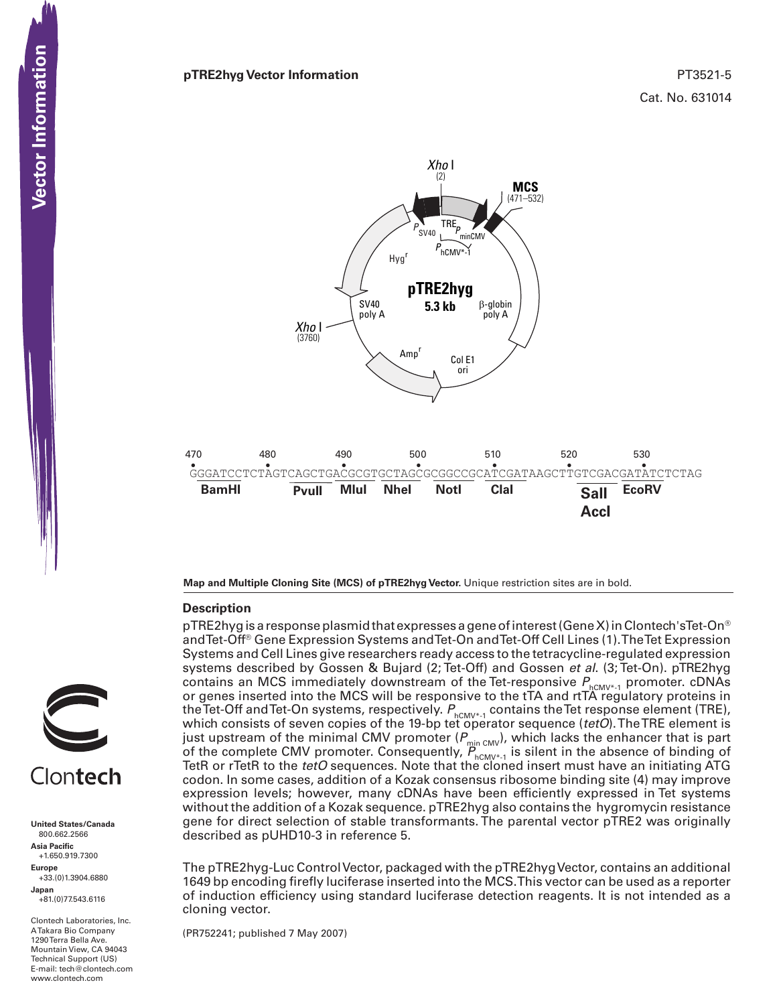



**Map and Multiple Cloning Site (MCS) of pTRE2hyg Vector.** Unique restriction sites are in bold.

### **Description**



**United States/Canada** 800.662.2566 **Asia Pacific** +1.650.919.7300 **Europe** +33.(0)1.3904.6880

**Japan** +81.(0)77.543.6116

Clontech Laboratories, Inc. A Takara Bio Company 1290 Terra Bella Ave. Mountain View, CA 94043 Technical Support (US) E-mail: tech@clontech.com<br>www.clontech.com

pTRE2hyg is a response plasmid that expresses a gene of interest (Gene X) in Clontech'sTet-On® andTet-Off® Gene Expression Systems andTet-On andTet-Off Cell Lines (1).TheTet Expression Systems and Cell Lines give researchers ready access to the tetracycline-regulated expression systems described by Gossen & Bujard (2; Tet-Off) and Gossen *et al*. (3; Tet-On). pTRE2hyg contains an MCS immediately downstream of the Tet-responsive  $P_{hCMV^{*}}$  promoter. cDNAs or genes inserted into the MCS will be responsive to the tTA and rtTA regulatory proteins in the Tet-Off and Tet-On systems, respectively.  $P_{hCMV^*1}$  contains the Tet response element (TRE), which consists of seven copies of the 19-bp tet operator sequence (*tetO*).TheTRE element is just upstream of the minimal CMV promoter ( $P_{\scriptscriptstyle{\min\, \text{CMV}}}$ ), which lacks the enhancer that is part of the complete CMV promoter. Consequently,  $P_{hCMV^{*}-1}$  is silent in the absence of binding of TetR or rTetR to the *tetO* sequences. Note that the cloned insert must have an initiating ATG codon. In some cases, addition of a Kozak consensus ribosome binding site (4) may improve expression levels; however, many cDNAs have been efficiently expressed in Tet systems without the addition of a Kozak sequence. pTRE2hyg also contains the hygromycin resistance gene for direct selection of stable transformants. The parental vector pTRE2 was originally described as pUHD10-3 in reference 5.

The pTRE2hyg-Luc ControlVector, packaged with the pTRE2hygVector, contains an additional 1649 bp encoding firefly luciferase inserted into the MCS.This vector can be used as a reporter of induction efficiency using standard luciferase detection reagents. It is not intended as a cloning vector.

(PR752241; published 7 May 2007)